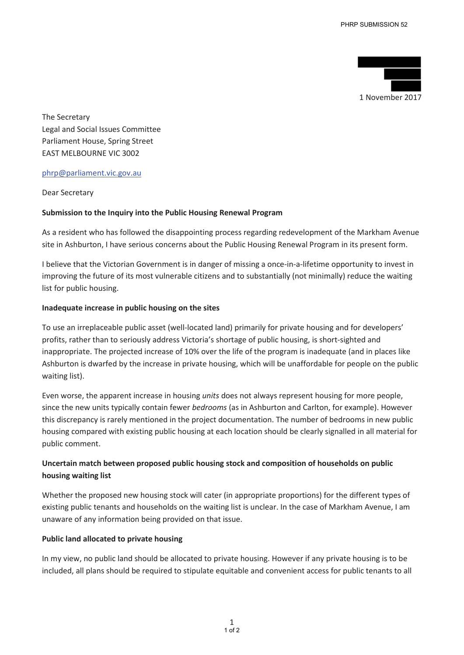

The Secretary Legal and Social Issues Committee Parliament House, Spring Street EAST MELBOURNE VIC 3002

# phrp@parliament.vic.gov.au

Dear Secretary

# **Submission to the Inquiry into the Public Housing Renewal Program**

As a resident who has followed the disappointing process regarding redevelopment of the Markham Avenue site in Ashburton, I have serious concerns about the Public Housing Renewal Program in its present form.

I believe that the Victorian Government is in danger of missing a once-in-a-lifetime opportunity to invest in improving the future of its most vulnerable citizens and to substantially (not minimally) reduce the waiting list for public housing.

#### **Inadequate increase in public housing on the sites**

To use an irreplaceable public asset (well-located land) primarily for private housing and for developers' profits, rather than to seriously address Victoria's shortage of public housing, is short-sighted and inappropriate. The projected increase of 10% over the life of the program is inadequate (and in places like Ashburton is dwarfed by the increase in private housing, which will be unaffordable for people on the public waiting list).

Even worse, the apparent increase in housing *units* does not always represent housing for more people, since the new units typically contain fewer *bedrooms* (as in Ashburton and Carlton, for example). However this discrepancy is rarely mentioned in the project documentation. The number of bedrooms in new public housing compared with existing public housing at each location should be clearly signalled in all material for public comment.

# **Uncertain match between proposed public housing stock and composition of households on public housing waiting list**

Whether the proposed new housing stock will cater (in appropriate proportions) for the different types of existing public tenants and households on the waiting list is unclear. In the case of Markham Avenue, I am unaware of any information being provided on that issue.

# **Public land allocated to private housing**

In my view, no public land should be allocated to private housing. However if any private housing is to be included, all plans should be required to stipulate equitable and convenient access for public tenants to all